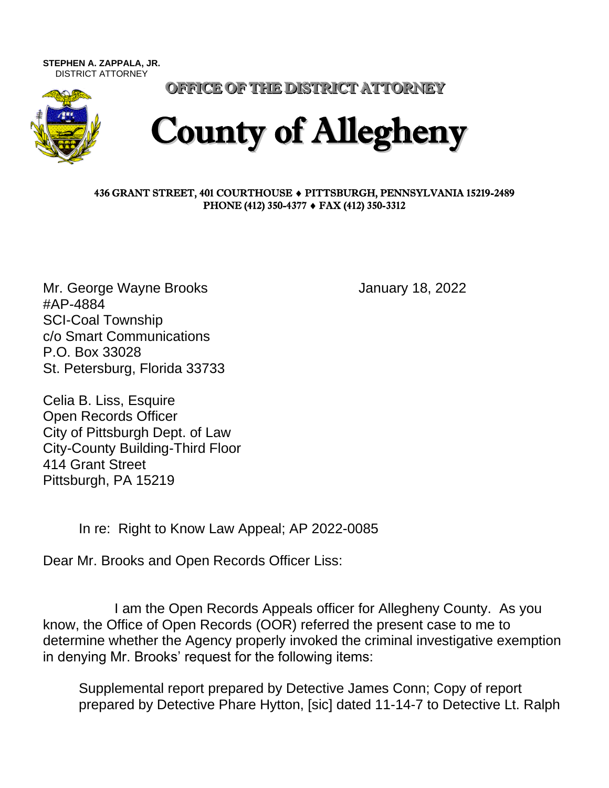**STEPHEN A. ZAPPALA, JR.**  DISTRICT ATTORNEY



OFFICE OF THE DISTRICT ATTORNEY

## County of Allegheny

## 436 GRANT STREET, 401 COURTHOUSE PITTSBURGH, PENNSYLVANIA 15219-2489 PHONE (412) 350-4377 ♦ FAX (412) 350-3312

Mr. George Wayne Brooks **Internal Control** Section 18, 2022 #AP-4884 SCI-Coal Township c/o Smart Communications P.O. Box 33028 St. Petersburg, Florida 33733

Celia B. Liss, Esquire Open Records Officer City of Pittsburgh Dept. of Law City-County Building-Third Floor 414 Grant Street Pittsburgh, PA 15219

In re: Right to Know Law Appeal; AP 2022-0085

Dear Mr. Brooks and Open Records Officer Liss:

I am the Open Records Appeals officer for Allegheny County. As you know, the Office of Open Records (OOR) referred the present case to me to determine whether the Agency properly invoked the criminal investigative exemption in denying Mr. Brooks' request for the following items:

Supplemental report prepared by Detective James Conn; Copy of report prepared by Detective Phare Hytton, [sic] dated 11-14-7 to Detective Lt. Ralph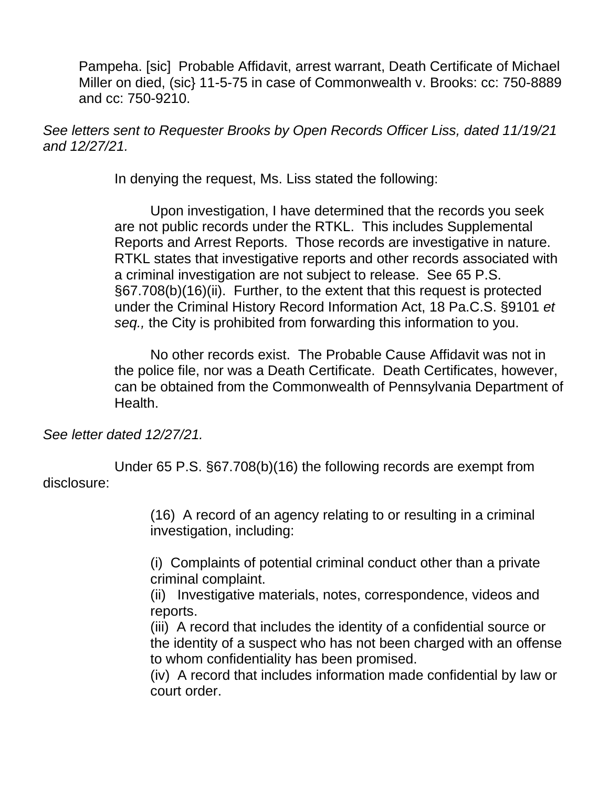Pampeha. [sic] Probable Affidavit, arrest warrant, Death Certificate of Michael Miller on died, (sic} 11-5-75 in case of Commonwealth v. Brooks: cc: 750-8889 and cc: 750-9210.

*See letters sent to Requester Brooks by Open Records Officer Liss, dated 11/19/21 and 12/27/21.*

In denying the request, Ms. Liss stated the following:

Upon investigation, I have determined that the records you seek are not public records under the RTKL. This includes Supplemental Reports and Arrest Reports. Those records are investigative in nature. RTKL states that investigative reports and other records associated with a criminal investigation are not subject to release. See 65 P.S. §67.708(b)(16)(ii). Further, to the extent that this request is protected under the Criminal History Record Information Act, 18 Pa.C.S. §9101 *et seq.,* the City is prohibited from forwarding this information to you.

No other records exist. The Probable Cause Affidavit was not in the police file, nor was a Death Certificate. Death Certificates, however, can be obtained from the Commonwealth of Pennsylvania Department of Health.

*See letter dated 12/27/21.*

Under 65 P.S. §67.708(b)(16) the following records are exempt from disclosure:

> (16) A record of an agency relating to or resulting in a criminal investigation, including:

(i) Complaints of potential criminal conduct other than a private criminal complaint.

(ii) Investigative materials, notes, correspondence, videos and reports.

(iii) A record that includes the identity of a confidential source or the identity of a suspect who has not been charged with an offense to whom confidentiality has been promised.

(iv) A record that includes information made confidential by law or court order.